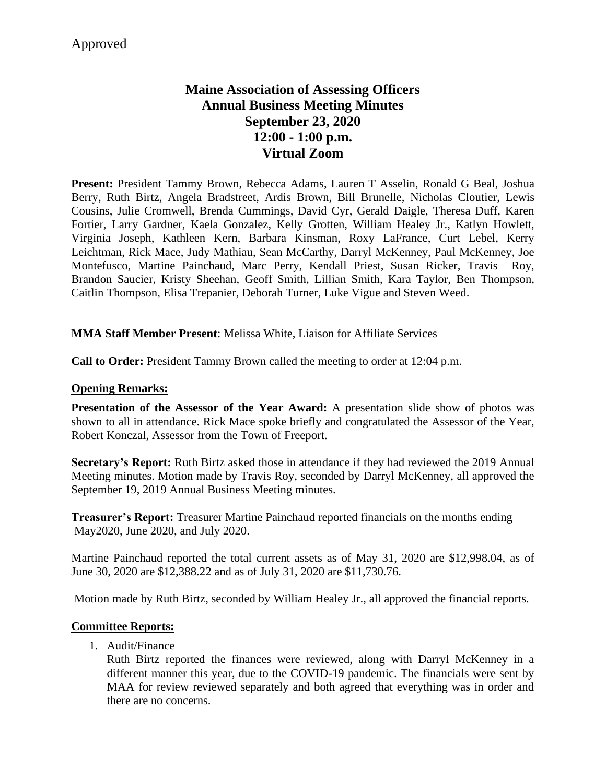# **Maine Association of Assessing Officers Annual Business Meeting Minutes September 23, 2020 12:00 - 1:00 p.m. Virtual Zoom**

**Present:** President Tammy Brown, Rebecca Adams, Lauren T Asselin, Ronald G Beal, Joshua Berry, Ruth Birtz, Angela Bradstreet, Ardis Brown, Bill Brunelle, Nicholas Cloutier, Lewis Cousins, Julie Cromwell, Brenda Cummings, David Cyr, Gerald Daigle, Theresa Duff, Karen Fortier, Larry Gardner, Kaela Gonzalez, Kelly Grotten, William Healey Jr., Katlyn Howlett, Virginia Joseph, Kathleen Kern, Barbara Kinsman, Roxy LaFrance, Curt Lebel, Kerry Leichtman, Rick Mace, Judy Mathiau, Sean McCarthy, Darryl McKenney, Paul McKenney, Joe Montefusco, Martine Painchaud, Marc Perry, Kendall Priest, Susan Ricker, Travis Roy, Brandon Saucier, Kristy Sheehan, Geoff Smith, Lillian Smith, Kara Taylor, Ben Thompson, Caitlin Thompson, Elisa Trepanier, Deborah Turner, Luke Vigue and Steven Weed.

#### **MMA Staff Member Present**: Melissa White, Liaison for Affiliate Services

**Call to Order:** President Tammy Brown called the meeting to order at 12:04 p.m.

#### **Opening Remarks:**

**Presentation of the Assessor of the Year Award:** A presentation slide show of photos was shown to all in attendance. Rick Mace spoke briefly and congratulated the Assessor of the Year, Robert Konczal, Assessor from the Town of Freeport.

**Secretary's Report:** Ruth Birtz asked those in attendance if they had reviewed the 2019 Annual Meeting minutes. Motion made by Travis Roy, seconded by Darryl McKenney, all approved the September 19, 2019 Annual Business Meeting minutes.

**Treasurer's Report:** Treasurer Martine Painchaud reported financials on the months ending May2020, June 2020, and July 2020.

Martine Painchaud reported the total current assets as of May 31, 2020 are \$12,998.04, as of June 30, 2020 are \$12,388.22 and as of July 31, 2020 are \$11,730.76.

Motion made by Ruth Birtz, seconded by William Healey Jr., all approved the financial reports.

#### **Committee Reports:**

1. Audit/Finance

Ruth Birtz reported the finances were reviewed, along with Darryl McKenney in a different manner this year, due to the COVID-19 pandemic. The financials were sent by MAA for review reviewed separately and both agreed that everything was in order and there are no concerns.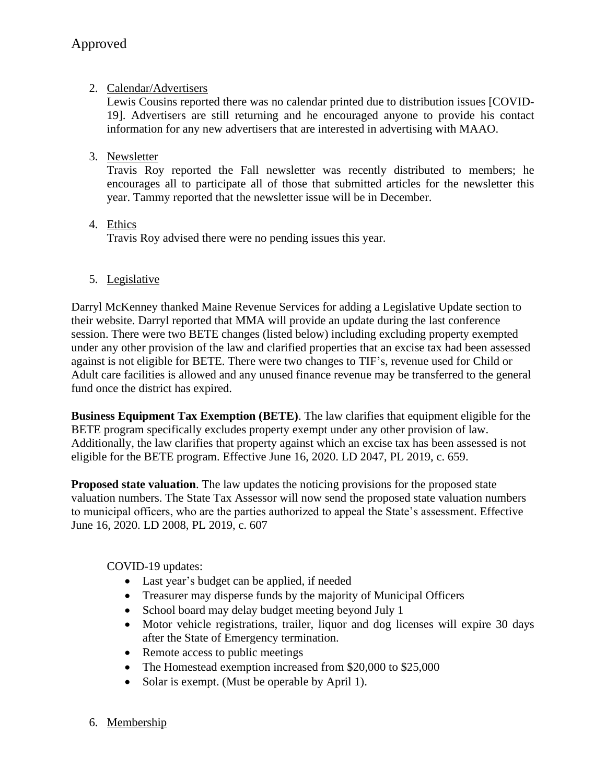# 2. Calendar/Advertisers

Lewis Cousins reported there was no calendar printed due to distribution issues [COVID-19]. Advertisers are still returning and he encouraged anyone to provide his contact information for any new advertisers that are interested in advertising with MAAO.

3. Newsletter

Travis Roy reported the Fall newsletter was recently distributed to members; he encourages all to participate all of those that submitted articles for the newsletter this year. Tammy reported that the newsletter issue will be in December.

4. Ethics

Travis Roy advised there were no pending issues this year.

5. Legislative

Darryl McKenney thanked Maine Revenue Services for adding a Legislative Update section to their website. Darryl reported that MMA will provide an update during the last conference session. There were two BETE changes (listed below) including excluding property exempted under any other provision of the law and clarified properties that an excise tax had been assessed against is not eligible for BETE. There were two changes to TIF's, revenue used for Child or Adult care facilities is allowed and any unused finance revenue may be transferred to the general fund once the district has expired.

**Business Equipment Tax Exemption (BETE)**. The law clarifies that equipment eligible for the BETE program specifically excludes property exempt under any other provision of law. Additionally, the law clarifies that property against which an excise tax has been assessed is not eligible for the BETE program. Effective June 16, 2020. LD 2047, PL 2019, c. 659.

**Proposed state valuation**. The law updates the noticing provisions for the proposed state valuation numbers. The State Tax Assessor will now send the proposed state valuation numbers to municipal officers, who are the parties authorized to appeal the State's assessment. Effective June 16, 2020. LD 2008, PL 2019, c. 607

COVID-19 updates:

- Last year's budget can be applied, if needed
- Treasurer may disperse funds by the majority of Municipal Officers
- School board may delay budget meeting beyond July 1
- Motor vehicle registrations, trailer, liquor and dog licenses will expire 30 days after the State of Emergency termination.
- Remote access to public meetings
- The Homestead exemption increased from \$20,000 to \$25,000
- Solar is exempt. (Must be operable by April 1).
- 6. Membership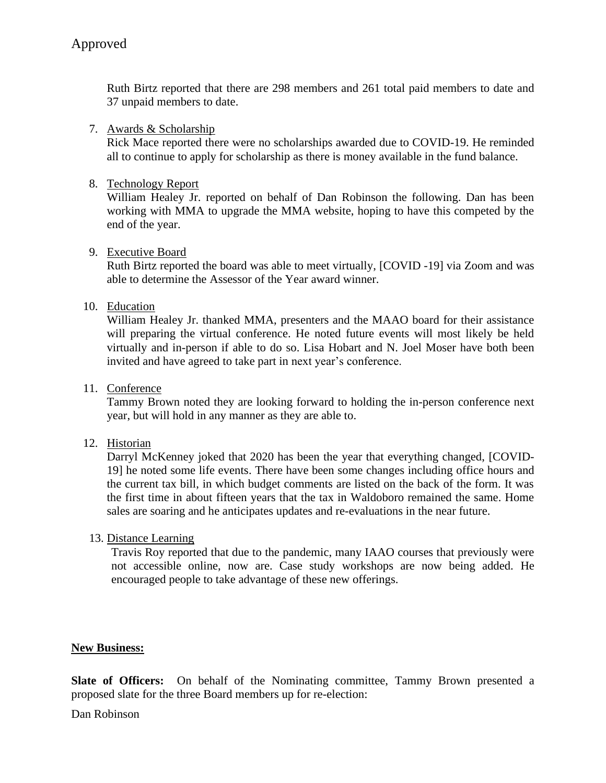Ruth Birtz reported that there are 298 members and 261 total paid members to date and 37 unpaid members to date.

#### 7. Awards & Scholarship

Rick Mace reported there were no scholarships awarded due to COVID-19. He reminded all to continue to apply for scholarship as there is money available in the fund balance.

### 8. Technology Report

William Healey Jr. reported on behalf of Dan Robinson the following. Dan has been working with MMA to upgrade the MMA website, hoping to have this competed by the end of the year.

#### 9. Executive Board

Ruth Birtz reported the board was able to meet virtually, [COVID -19] via Zoom and was able to determine the Assessor of the Year award winner.

#### 10. Education

William Healey Jr. thanked MMA, presenters and the MAAO board for their assistance will preparing the virtual conference. He noted future events will most likely be held virtually and in-person if able to do so. Lisa Hobart and N. Joel Moser have both been invited and have agreed to take part in next year's conference.

#### 11. Conference

Tammy Brown noted they are looking forward to holding the in-person conference next year, but will hold in any manner as they are able to.

## 12. Historian

Darryl McKenney joked that 2020 has been the year that everything changed, [COVID-19] he noted some life events. There have been some changes including office hours and the current tax bill, in which budget comments are listed on the back of the form. It was the first time in about fifteen years that the tax in Waldoboro remained the same. Home sales are soaring and he anticipates updates and re-evaluations in the near future.

## 13. Distance Learning

Travis Roy reported that due to the pandemic, many IAAO courses that previously were not accessible online, now are. Case study workshops are now being added. He encouraged people to take advantage of these new offerings.

#### **New Business:**

**Slate of Officers:** On behalf of the Nominating committee, Tammy Brown presented a proposed slate for the three Board members up for re-election:

Dan Robinson